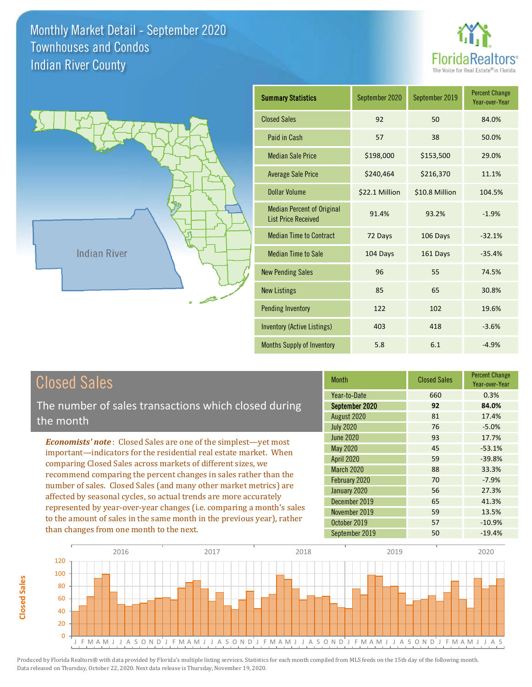



| <b>Summary Statistics</b>                                       | September 2020 | September 2019 | <b>Percent Change</b><br>Year-over-Year |
|-----------------------------------------------------------------|----------------|----------------|-----------------------------------------|
| <b>Closed Sales</b>                                             | 92             | 50             | 84.0%                                   |
| Paid in Cash                                                    | 57             | 38             | 50.0%                                   |
| <b>Median Sale Price</b>                                        | \$198,000      | \$153,500      | 29.0%                                   |
| <b>Average Sale Price</b>                                       | \$240,464      | \$216,370      | 11.1%                                   |
| Dollar Volume                                                   | \$22.1 Million | \$10.8 Million | 104.5%                                  |
| <b>Median Percent of Original</b><br><b>List Price Received</b> | 91.4%          | 93.2%          | $-1.9%$                                 |
| <b>Median Time to Contract</b>                                  | 72 Days        | 106 Days       | $-32.1%$                                |
| <b>Median Time to Sale</b>                                      | 104 Days       | 161 Days       | $-35.4%$                                |
| <b>New Pending Sales</b>                                        | 96             | 55             | 74.5%                                   |
| <b>New Listings</b>                                             | 85             | 65             | 30.8%                                   |
| <b>Pending Inventory</b>                                        | 122            | 102            | 19.6%                                   |
| <b>Inventory (Active Listings)</b>                              | 403            | 418            | $-3.6%$                                 |
| Months Supply of Inventory                                      | 5.8            | 6.1            | $-4.9%$                                 |

| <b>Closed Sales</b> |  |
|---------------------|--|
|---------------------|--|

**Closed Sales**

**Closed Sales** 

The number of sales transactions which closed during the month

*Economists' note* : Closed Sales are one of the simplest—yet most important—indicators for the residential real estate market. When comparing Closed Sales across markets of different sizes, we recommend comparing the percent changes in sales rather than the number of sales. Closed Sales (and many other market metrics) are affected by seasonal cycles, so actual trends are more accurately represented by year-over-year changes (i.e. comparing a month's sales to the amount of sales in the same month in the previous year), rather than changes from one month to the next.

| <b>Month</b>      | <b>Closed Sales</b> | <b>Percent Change</b><br>Year-over-Year |
|-------------------|---------------------|-----------------------------------------|
| Year-to-Date      | 660                 | 0.3%                                    |
| September 2020    | 92                  | 84.0%                                   |
| August 2020       | 81                  | 17.4%                                   |
| <b>July 2020</b>  | 76                  | $-5.0%$                                 |
| <b>June 2020</b>  | 93                  | 17.7%                                   |
| May 2020          | 45                  | $-53.1%$                                |
| <b>April 2020</b> | 59                  | $-39.8%$                                |
| March 2020        | 88                  | 33.3%                                   |
| February 2020     | 70                  | $-7.9%$                                 |
| January 2020      | 56                  | 27.3%                                   |
| December 2019     | 65                  | 41.3%                                   |
| November 2019     | 59                  | 13.5%                                   |
| October 2019      | 57                  | $-10.9%$                                |
| September 2019    | 50                  | $-19.4%$                                |

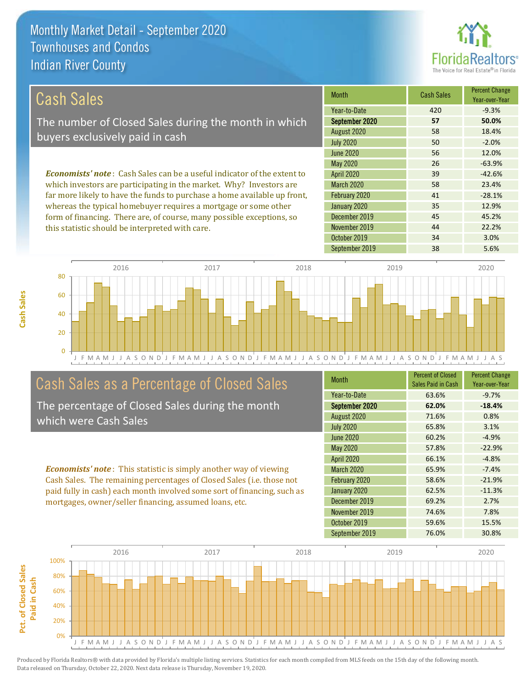this statistic should be interpreted with care.



44 22.2%

| Cash Sales                                                                     | <b>Month</b>      | <b>Cash Sales</b> | <b>Percent Change</b><br>Year-over-Year |
|--------------------------------------------------------------------------------|-------------------|-------------------|-----------------------------------------|
|                                                                                | Year-to-Date      | 420               | $-9.3%$                                 |
| The number of Closed Sales during the month in which                           | September 2020    | 57                | 50.0%                                   |
| buyers exclusively paid in cash                                                | August 2020       | 58                | 18.4%                                   |
|                                                                                | <b>July 2020</b>  | 50                | $-2.0%$                                 |
|                                                                                | June 2020         | 56                | 12.0%                                   |
|                                                                                | May 2020          | 26                | $-63.9%$                                |
| <b>Economists' note:</b> Cash Sales can be a useful indicator of the extent to | <b>April 2020</b> | 39                | $-42.6%$                                |
| which investors are participating in the market. Why? Investors are            | <b>March 2020</b> | 58                | 23.4%                                   |
| far more likely to have the funds to purchase a home available up front,       | February 2020     | 41                | $-28.1%$                                |
| whereas the typical homebuyer requires a mortgage or some other                | January 2020      | 35                | 12.9%                                   |
| form of financing. There are, of course, many possible exceptions, so          | December 2019     | 45                | 45.2%                                   |

J F M A M J J A S O N D J F M A M J J A S O N D J F M A M J J A S O N D J F M A M J J A S O N D J F M A M J J A S 0 20 40 60 80 2016 2017 2018 2019 2020

## Cash Sales as a Percentage of Closed Sales

The percentage of Closed Sales during the month which were Cash Sales

*Economists' note* : This statistic is simply another way of viewing Cash Sales. The remaining percentages of Closed Sales (i.e. those not paid fully in cash) each month involved some sort of financing, such as mortgages, owner/seller financing, assumed loans, etc.

| <b>Month</b>      | <b>Percent of Closed</b><br>Sales Paid in Cash | <b>Percent Change</b><br>Year-over-Year |
|-------------------|------------------------------------------------|-----------------------------------------|
| Year-to-Date      | 63.6%                                          | $-9.7%$                                 |
| September 2020    | 62.0%                                          | $-18.4%$                                |
| August 2020       | 71.6%                                          | 0.8%                                    |
| <b>July 2020</b>  | 65.8%                                          | 3.1%                                    |
| June 2020         | 60.2%                                          | $-4.9%$                                 |
| <b>May 2020</b>   | 57.8%                                          | $-22.9%$                                |
| <b>April 2020</b> | 66.1%                                          | $-4.8%$                                 |
| <b>March 2020</b> | 65.9%                                          | $-7.4%$                                 |
| February 2020     | 58.6%                                          | $-21.9%$                                |
| January 2020      | 62.5%                                          | $-11.3%$                                |
| December 2019     | 69.2%                                          | 2.7%                                    |
| November 2019     | 74.6%                                          | 7.8%                                    |
| October 2019      | 59.6%                                          | 15.5%                                   |
| September 2019    | 76.0%                                          | 30.8%                                   |

September 2019 38 5.6%

October 2019 **34** 3.0%

November 2019



**Cash Sales**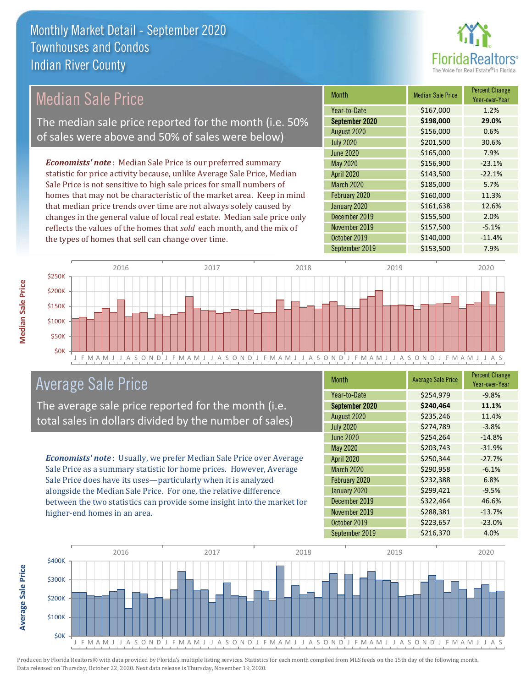

## Median Sale Price

The median sale price reported for the month (i.e. 50% of sales were above and 50% of sales were below)

*Economists' note* : Median Sale Price is our preferred summary statistic for price activity because, unlike Average Sale Price, Median Sale Price is not sensitive to high sale prices for small numbers of homes that may not be characteristic of the market area. Keep in mind that median price trends over time are not always solely caused by changes in the general value of local real estate. Median sale price only reflects the values of the homes that *sold* each month, and the mix of the types of homes that sell can change over time.

| <b>Month</b>      | <b>Median Sale Price</b> | <b>Percent Change</b><br>Year-over-Year |
|-------------------|--------------------------|-----------------------------------------|
| Year-to-Date      | \$167,000                | 1.2%                                    |
| September 2020    | \$198,000                | 29.0%                                   |
| August 2020       | \$156,000                | 0.6%                                    |
| <b>July 2020</b>  | \$201,500                | 30.6%                                   |
| <b>June 2020</b>  | \$165,000                | 7.9%                                    |
| May 2020          | \$156,900                | $-23.1%$                                |
| April 2020        | \$143,500                | $-22.1%$                                |
| <b>March 2020</b> | \$185,000                | 5.7%                                    |
| February 2020     | \$160,000                | 11.3%                                   |
| January 2020      | \$161,638                | 12.6%                                   |
| December 2019     | \$155,500                | 2.0%                                    |
| November 2019     | \$157,500                | $-5.1%$                                 |
| October 2019      | \$140,000                | $-11.4%$                                |
| September 2019    | \$153,500                | 7.9%                                    |



## Average Sale Price

The average sale price reported for the month (i.e. total sales in dollars divided by the number of sales)

*Economists' note* : Usually, we prefer Median Sale Price over Average Sale Price as a summary statistic for home prices. However, Average Sale Price does have its uses—particularly when it is analyzed alongside the Median Sale Price. For one, the relative difference between the two statistics can provide some insight into the market for higher-end homes in an area.

| <b>Month</b>      | <b>Average Sale Price</b> | <b>Percent Change</b><br>Year-over-Year |
|-------------------|---------------------------|-----------------------------------------|
| Year-to-Date      | \$254,979                 | $-9.8%$                                 |
| September 2020    | \$240,464                 | 11.1%                                   |
| August 2020       | \$235,246                 | 11.4%                                   |
| <b>July 2020</b>  | \$274,789                 | $-3.8%$                                 |
| <b>June 2020</b>  | \$254,264                 | $-14.8%$                                |
| May 2020          | \$203,743                 | $-31.9%$                                |
| <b>April 2020</b> | \$250,344                 | $-27.7%$                                |
| <b>March 2020</b> | \$290,958                 | $-6.1%$                                 |
| February 2020     | \$232,388                 | 6.8%                                    |
| January 2020      | \$299,421                 | $-9.5%$                                 |
| December 2019     | \$322,464                 | 46.6%                                   |
| November 2019     | \$288,381                 | $-13.7%$                                |
| October 2019      | \$223,657                 | $-23.0%$                                |
| September 2019    | \$216,370                 | 4.0%                                    |



Produced by Florida Realtors® with data provided by Florida's multiple listing services. Statistics for each month compiled from MLS feeds on the 15th day of the following month. Data released on Thursday, October 22, 2020. Next data release is Thursday, November 19, 2020.

**Average Sale Price**

Average Sale Price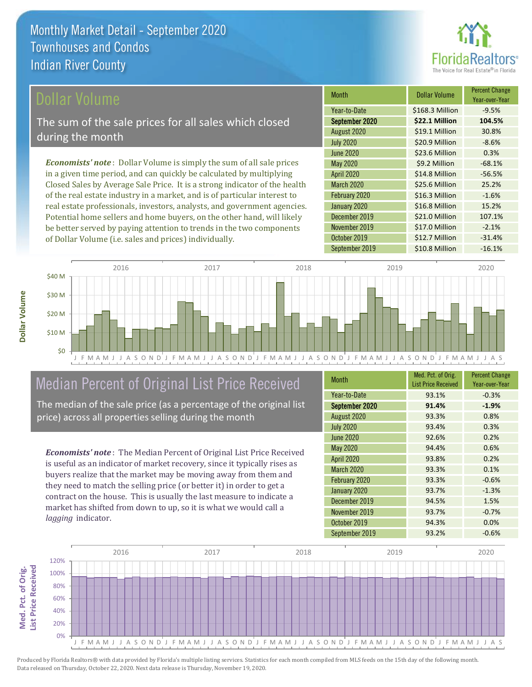

#### ollar Volume

The sum of the sale prices for all sales which closed during the month

*Economists' note* : Dollar Volume is simply the sum of all sale prices in a given time period, and can quickly be calculated by multiplying Closed Sales by Average Sale Price. It is a strong indicator of the health of the real estate industry in a market, and is of particular interest to real estate professionals, investors, analysts, and government agencies. Potential home sellers and home buyers, on the other hand, will likely be better served by paying attention to trends in the two components of Dollar Volume (i.e. sales and prices) individually.

| <b>Month</b>      | <b>Dollar Volume</b> | <b>Percent Change</b><br>Year-over-Year |
|-------------------|----------------------|-----------------------------------------|
| Year-to-Date      | \$168.3 Million      | $-9.5%$                                 |
| September 2020    | \$22.1 Million       | 104.5%                                  |
| August 2020       | \$19.1 Million       | 30.8%                                   |
| <b>July 2020</b>  | \$20.9 Million       | $-8.6%$                                 |
| <b>June 2020</b>  | \$23.6 Million       | 0.3%                                    |
| May 2020          | \$9.2 Million        | $-68.1%$                                |
| <b>April 2020</b> | \$14.8 Million       | $-56.5%$                                |
| <b>March 2020</b> | \$25.6 Million       | 25.2%                                   |
| February 2020     | \$16.3 Million       | $-1.6%$                                 |
| January 2020      | \$16.8 Million       | 15.2%                                   |
| December 2019     | \$21.0 Million       | 107.1%                                  |
| November 2019     | \$17.0 Million       | $-2.1%$                                 |
| October 2019      | \$12.7 Million       | $-31.4%$                                |
| September 2019    | \$10.8 Million       | $-16.1%$                                |



## Median Percent of Original List Price Received

The median of the sale price (as a percentage of the original list price) across all properties selling during the month

*Economists' note* : The Median Percent of Original List Price Received is useful as an indicator of market recovery, since it typically rises as buyers realize that the market may be moving away from them and they need to match the selling price (or better it) in order to get a contract on the house. This is usually the last measure to indicate a market has shifted from down to up, so it is what we would call a *lagging* indicator.

| <b>Month</b>      | Med. Pct. of Orig.<br><b>List Price Received</b> | <b>Percent Change</b><br>Year-over-Year |
|-------------------|--------------------------------------------------|-----------------------------------------|
| Year-to-Date      | 93.1%                                            | $-0.3%$                                 |
| September 2020    | 91.4%                                            | $-1.9%$                                 |
| August 2020       | 93.3%                                            | 0.8%                                    |
| <b>July 2020</b>  | 93.4%                                            | 0.3%                                    |
| <b>June 2020</b>  | 92.6%                                            | 0.2%                                    |
| <b>May 2020</b>   | 94.4%                                            | 0.6%                                    |
| <b>April 2020</b> | 93.8%                                            | 0.2%                                    |
| <b>March 2020</b> | 93.3%                                            | 0.1%                                    |
| February 2020     | 93.3%                                            | $-0.6%$                                 |
| January 2020      | 93.7%                                            | $-1.3%$                                 |
| December 2019     | 94.5%                                            | 1.5%                                    |
| November 2019     | 93.7%                                            | $-0.7%$                                 |
| October 2019      | 94.3%                                            | 0.0%                                    |
| September 2019    | 93.2%                                            | $-0.6%$                                 |

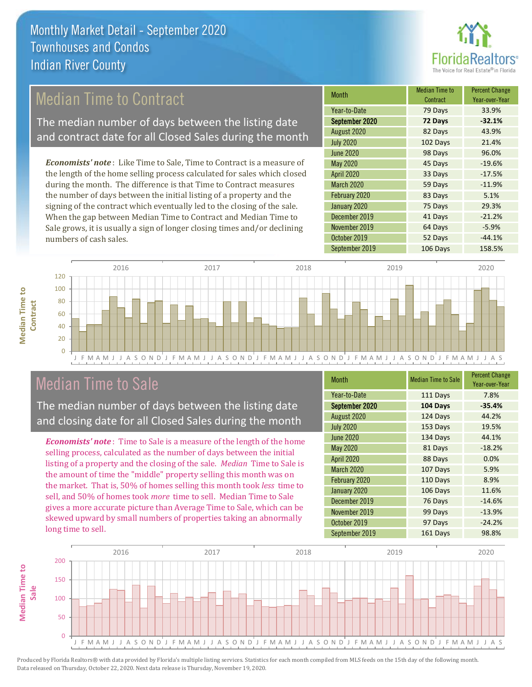

## Median Time to Contract

The median number of days between the listing date and contract date for all Closed Sales during the month

*Economists' note* : Like Time to Sale, Time to Contract is a measure of the length of the home selling process calculated for sales which closed during the month. The difference is that Time to Contract measures the number of days between the initial listing of a property and the signing of the contract which eventually led to the closing of the sale. When the gap between Median Time to Contract and Median Time to Sale grows, it is usually a sign of longer closing times and/or declining numbers of cash sales.

| <b>Month</b>      | <b>Median Time to</b><br>Contract | <b>Percent Change</b><br>Year-over-Year |
|-------------------|-----------------------------------|-----------------------------------------|
| Year-to-Date      | 79 Days                           | 33.9%                                   |
| September 2020    | 72 Days                           | $-32.1%$                                |
| August 2020       | 82 Days                           | 43.9%                                   |
| <b>July 2020</b>  | 102 Days                          | 21.4%                                   |
| <b>June 2020</b>  | 98 Days                           | 96.0%                                   |
| <b>May 2020</b>   | 45 Days                           | $-19.6%$                                |
| <b>April 2020</b> | 33 Days                           | $-17.5%$                                |
| <b>March 2020</b> | 59 Days                           | $-11.9%$                                |
| February 2020     | 83 Days                           | 5.1%                                    |
| January 2020      | 75 Days                           | 29.3%                                   |
| December 2019     | 41 Days                           | $-21.2%$                                |
| November 2019     | 64 Days                           | $-5.9%$                                 |
| October 2019      | 52 Days                           | $-44.1%$                                |
| September 2019    | 106 Days                          | 158.5%                                  |



### Median Time to Sale

**Median Time to Contract**

**Median Time to** 

The median number of days between the listing date and closing date for all Closed Sales during the month

*Economists' note* : Time to Sale is a measure of the length of the home selling process, calculated as the number of days between the initial listing of a property and the closing of the sale. *Median* Time to Sale is the amount of time the "middle" property selling this month was on the market. That is, 50% of homes selling this month took *less* time to sell, and 50% of homes took *more* time to sell. Median Time to Sale gives a more accurate picture than Average Time to Sale, which can be skewed upward by small numbers of properties taking an abnormally long time to sell.

| <b>Month</b>      | <b>Median Time to Sale</b> | <b>Percent Change</b><br>Year-over-Year |
|-------------------|----------------------------|-----------------------------------------|
| Year-to-Date      | 111 Days                   | 7.8%                                    |
| September 2020    | 104 Days                   | $-35.4%$                                |
| August 2020       | 124 Days                   | 44.2%                                   |
| <b>July 2020</b>  | 153 Days                   | 19.5%                                   |
| <b>June 2020</b>  | 134 Days                   | 44.1%                                   |
| May 2020          | 81 Days                    | $-18.2%$                                |
| <b>April 2020</b> | 88 Days                    | 0.0%                                    |
| <b>March 2020</b> | 107 Days                   | 5.9%                                    |
| February 2020     | 110 Days                   | 8.9%                                    |
| January 2020      | 106 Days                   | 11.6%                                   |
| December 2019     | 76 Days                    | $-14.6%$                                |
| November 2019     | 99 Days                    | $-13.9%$                                |
| October 2019      | 97 Days                    | $-24.2%$                                |
| September 2019    | 161 Days                   | 98.8%                                   |

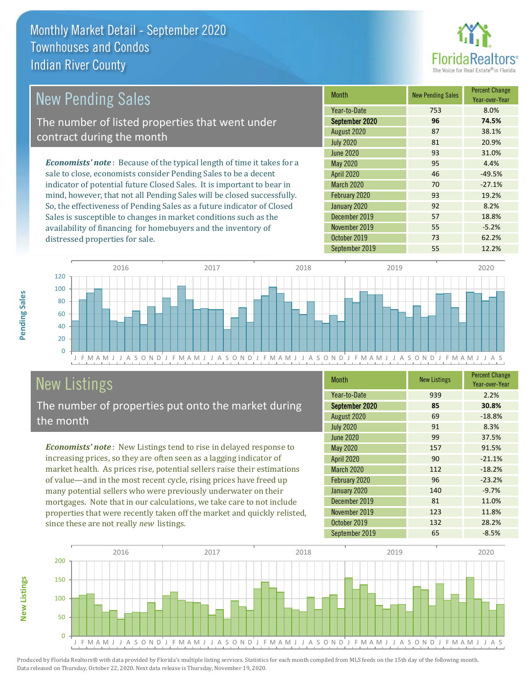

| <b>New Pending Sales</b>                                                       | <b>Month</b>      | <b>New Pending Sales</b> | <b>Percent Change</b><br>Year-over-Year |
|--------------------------------------------------------------------------------|-------------------|--------------------------|-----------------------------------------|
|                                                                                | Year-to-Date      | 753                      | 8.0%                                    |
| The number of listed properties that went under                                | September 2020    | 96                       | 74.5%                                   |
| contract during the month                                                      | August 2020       | 87                       | 38.1%                                   |
|                                                                                | <b>July 2020</b>  | 81                       | 20.9%                                   |
|                                                                                | June 2020         | 93                       | 31.0%                                   |
| <b>Economists' note</b> : Because of the typical length of time it takes for a | May 2020          | 95                       | 4.4%                                    |
| sale to close, economists consider Pending Sales to be a decent                | <b>April 2020</b> | 46                       | $-49.5%$                                |
| indicator of potential future Closed Sales. It is important to bear in         | <b>March 2020</b> | 70                       | $-27.1%$                                |
| mind, however, that not all Pending Sales will be closed successfully.         | February 2020     | 93                       | 19.2%                                   |
| So, the effectiveness of Pending Sales as a future indicator of Closed         | January 2020      | 92                       | 8.2%                                    |
| Sales is susceptible to changes in market conditions such as the               | December 2019     | 57                       | 18.8%                                   |
| availability of financing for homebuyers and the inventory of                  | November 2019     | 55                       | $-5.2%$                                 |



## New Listings

distressed properties for sale.

The number of properties put onto the market during the month

*Economists' note* : New Listings tend to rise in delayed response to increasing prices, so they are often seen as a lagging indicator of market health. As prices rise, potential sellers raise their estimations of value—and in the most recent cycle, rising prices have freed up many potential sellers who were previously underwater on their mortgages. Note that in our calculations, we take care to not include properties that were recently taken off the market and quickly relisted, since these are not really *new* listings.

| <b>Month</b>      | <b>New Listings</b> | <b>Percent Change</b><br>Year-over-Year |
|-------------------|---------------------|-----------------------------------------|
| Year-to-Date      | 939                 | 2.2%                                    |
| September 2020    | 85                  | 30.8%                                   |
| August 2020       | 69                  | $-18.8%$                                |
| <b>July 2020</b>  | 91                  | 8.3%                                    |
| <b>June 2020</b>  | 99                  | 37.5%                                   |
| May 2020          | 157                 | 91.5%                                   |
| April 2020        | 90                  | $-21.1%$                                |
| <b>March 2020</b> | 112                 | $-18.2%$                                |
| February 2020     | 96                  | $-23.2%$                                |
| January 2020      | 140                 | $-9.7%$                                 |
| December 2019     | 81                  | 11.0%                                   |
| November 2019     | 123                 | 11.8%                                   |
| October 2019      | 132                 | 28.2%                                   |
| September 2019    | 65                  | $-8.5%$                                 |

October 2019 73 62.2% September 2019 **55** 12.2%



Produced by Florida Realtors® with data provided by Florida's multiple listing services. Statistics for each month compiled from MLS feeds on the 15th day of the following month. Data released on Thursday, October 22, 2020. Next data release is Thursday, November 19, 2020.

**New Listings**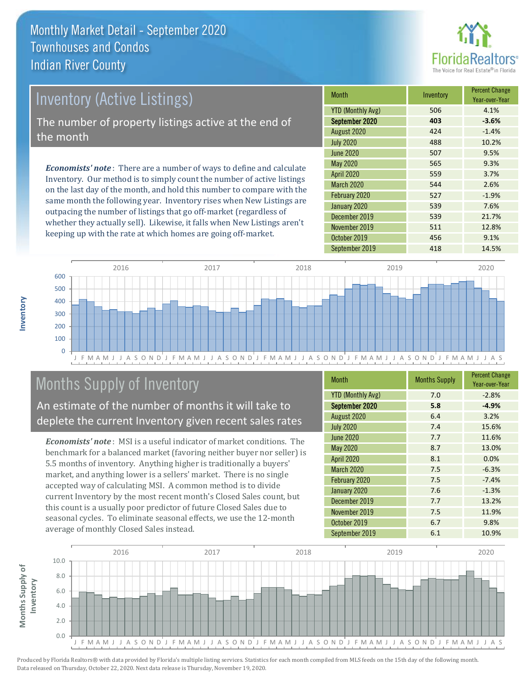

# *Economists' note* : There are a number of ways to define and calculate Inventory (Active Listings) The number of property listings active at the end of the month

Inventory. Our method is to simply count the number of active listings on the last day of the month, and hold this number to compare with the same month the following year. Inventory rises when New Listings are outpacing the number of listings that go off-market (regardless of whether they actually sell). Likewise, it falls when New Listings aren't keeping up with the rate at which homes are going off-market.

| Month                    | Inventory | <b>Percent Change</b><br>Year-over-Year |
|--------------------------|-----------|-----------------------------------------|
| <b>YTD (Monthly Avg)</b> | 506       | 4.1%                                    |
| September 2020           | 403       | $-3.6%$                                 |
| August 2020              | 424       | $-1.4%$                                 |
| <b>July 2020</b>         | 488       | 10.2%                                   |
| <b>June 2020</b>         | 507       | 9.5%                                    |
| May 2020                 | 565       | 9.3%                                    |
| <b>April 2020</b>        | 559       | 3.7%                                    |
| <b>March 2020</b>        | 544       | 2.6%                                    |
| February 2020            | 527       | $-1.9%$                                 |
| January 2020             | 539       | 7.6%                                    |
| December 2019            | 539       | 21.7%                                   |
| November 2019            | 511       | 12.8%                                   |
| October 2019             | 456       | 9.1%                                    |
| September 2019           | 418       | 14.5%                                   |



## Months Supply of Inventory

An estimate of the number of months it will take to deplete the current Inventory given recent sales rates

*Economists' note* : MSI is a useful indicator of market conditions. The benchmark for a balanced market (favoring neither buyer nor seller) is 5.5 months of inventory. Anything higher is traditionally a buyers' market, and anything lower is a sellers' market. There is no single accepted way of calculating MSI. A common method is to divide current Inventory by the most recent month's Closed Sales count, but this count is a usually poor predictor of future Closed Sales due to seasonal cycles. To eliminate seasonal effects, we use the 12-month average of monthly Closed Sales instead.

| <b>Month</b>             | <b>Months Supply</b> | <b>Percent Change</b><br>Year-over-Year |
|--------------------------|----------------------|-----------------------------------------|
| <b>YTD (Monthly Avg)</b> | 7.0                  | $-2.8%$                                 |
| September 2020           | 5.8                  | $-4.9%$                                 |
| August 2020              | 6.4                  | 3.2%                                    |
| <b>July 2020</b>         | 7.4                  | 15.6%                                   |
| <b>June 2020</b>         | 7.7                  | 11.6%                                   |
| May 2020                 | 8.7                  | 13.0%                                   |
| <b>April 2020</b>        | 8.1                  | 0.0%                                    |
| <b>March 2020</b>        | 7.5                  | $-6.3%$                                 |
| February 2020            | 7.5                  | $-7.4%$                                 |
| January 2020             | 7.6                  | $-1.3%$                                 |
| December 2019            | 7.7                  | 13.2%                                   |
| November 2019            | 7.5                  | 11.9%                                   |
| October 2019             | 6.7                  | 9.8%                                    |
| September 2019           | 6.1                  | 10.9%                                   |

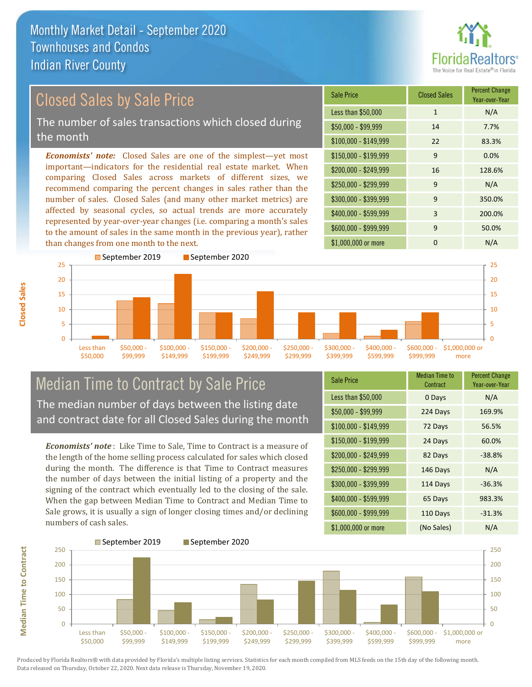than changes from one month to the next.



Year-over-Year

#### *Economists' note:* Closed Sales are one of the simplest—yet most important—indicators for the residential real estate market. When comparing Closed Sales across markets of different sizes, we recommend comparing the percent changes in sales rather than the number of sales. Closed Sales (and many other market metrics) are affected by seasonal cycles, so actual trends are more accurately represented by year-over-year changes (i.e. comparing a month's sales to the amount of sales in the same month in the previous year), rather  $$250,000 - $299,999$  9 N/A \$300,000 - \$399,999 9 350.0% \$400,000 - \$599,999 3 200.0% \$600,000 - \$999,999 9 50.0% \$150,000 - \$199,999 9 0.0% \$200,000 - \$249,999 16 128.6% \$100,000 - \$149,999 22 83.3% Sale Price Closed Sales Percent Change Less than \$50,000 1 1 N/A \$50,000 - \$99,999 14 7.7% Closed Sales by Sale Price The number of sales transactions which closed during the month



#### Median Time to Contract by Sale Price The median number of days between the listing date and contract date for all Closed Sales during the month

*Economists' note* : Like Time to Sale, Time to Contract is a measure of the length of the home selling process calculated for sales which closed during the month. The difference is that Time to Contract measures the number of days between the initial listing of a property and the signing of the contract which eventually led to the closing of the sale. When the gap between Median Time to Contract and Median Time to Sale grows, it is usually a sign of longer closing times and/or declining numbers of cash sales.

| <b>Sale Price</b>     | <b>Median Time to</b><br>Contract | <b>Percent Change</b><br>Year-over-Year |
|-----------------------|-----------------------------------|-----------------------------------------|
| Less than \$50,000    | 0 Days                            | N/A                                     |
| $$50,000 - $99,999$   | 224 Days                          | 169.9%                                  |
| $$100,000 - $149,999$ | 72 Days                           | 56.5%                                   |
| $$150,000 - $199,999$ | 24 Days                           | 60.0%                                   |
| \$200,000 - \$249,999 | 82 Days                           | $-38.8%$                                |
| \$250,000 - \$299,999 | 146 Days                          | N/A                                     |
| \$300,000 - \$399,999 | 114 Days                          | $-36.3%$                                |
| \$400,000 - \$599,999 | 65 Days                           | 983.3%                                  |
| \$600,000 - \$999,999 | 110 Days                          | $-31.3%$                                |
| \$1,000,000 or more   | (No Sales)                        | N/A                                     |

\$1,000,000 or more 0 0 N/A

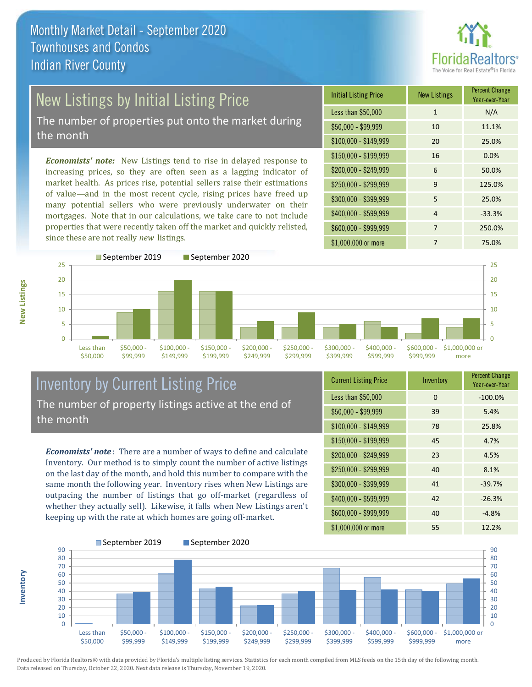

# New Listings by Initial Listing Price

The number of properties put onto the market during the month

*Economists' note:* New Listings tend to rise in delayed response to increasing prices, so they are often seen as a lagging indicator of market health. As prices rise, potential sellers raise their estimations of value—and in the most recent cycle, rising prices have freed up many potential sellers who were previously underwater on their mortgages. Note that in our calculations, we take care to not include properties that were recently taken off the market and quickly relisted, since these are not really *new* listings.

| <b>Initial Listing Price</b> | <b>New Listings</b> | <b>Percent Change</b><br>Year-over-Year |
|------------------------------|---------------------|-----------------------------------------|
| Less than \$50,000           | 1                   | N/A                                     |
| $$50,000 - $99,999$          | 10                  | 11.1%                                   |
| $$100,000 - $149,999$        | 20                  | 25.0%                                   |
| \$150,000 - \$199,999        | 16                  | 0.0%                                    |
| \$200,000 - \$249,999        | 6                   | 50.0%                                   |
| \$250,000 - \$299,999        | 9                   | 125.0%                                  |
| \$300,000 - \$399,999        | 5                   | 25.0%                                   |
| \$400,000 - \$599,999        | 4                   | $-33.3%$                                |
| \$600,000 - \$999,999        | 7                   | 250.0%                                  |
| \$1,000,000 or more          | 7                   | 75.0%                                   |



#### Inventory by Current Listing Price The number of property listings active at the end of the month

*Economists' note* : There are a number of ways to define and calculate Inventory. Our method is to simply count the number of active listings on the last day of the month, and hold this number to compare with the same month the following year. Inventory rises when New Listings are outpacing the number of listings that go off-market (regardless of whether they actually sell). Likewise, it falls when New Listings aren't keeping up with the rate at which homes are going off-market.

**Inventory**

**New Listings**

| <b>Current Listing Price</b> | Inventory | <b>Percent Change</b><br>Year-over-Year |
|------------------------------|-----------|-----------------------------------------|
| Less than \$50,000           | $\Omega$  | $-100.0%$                               |
| $$50,000 - $99,999$          | 39        | 5.4%                                    |
| $$100,000 - $149,999$        | 78        | 25.8%                                   |
| $$150,000 - $199,999$        | 45        | 4.7%                                    |
| \$200,000 - \$249,999        | 23        | 4.5%                                    |
| \$250,000 - \$299,999        | 40        | 8.1%                                    |
| \$300,000 - \$399,999        | 41        | $-39.7%$                                |
| \$400,000 - \$599,999        | 42        | $-26.3%$                                |
| \$600,000 - \$999,999        | 40        | $-4.8%$                                 |
| \$1,000,000 or more          | 55        | 12.2%                                   |